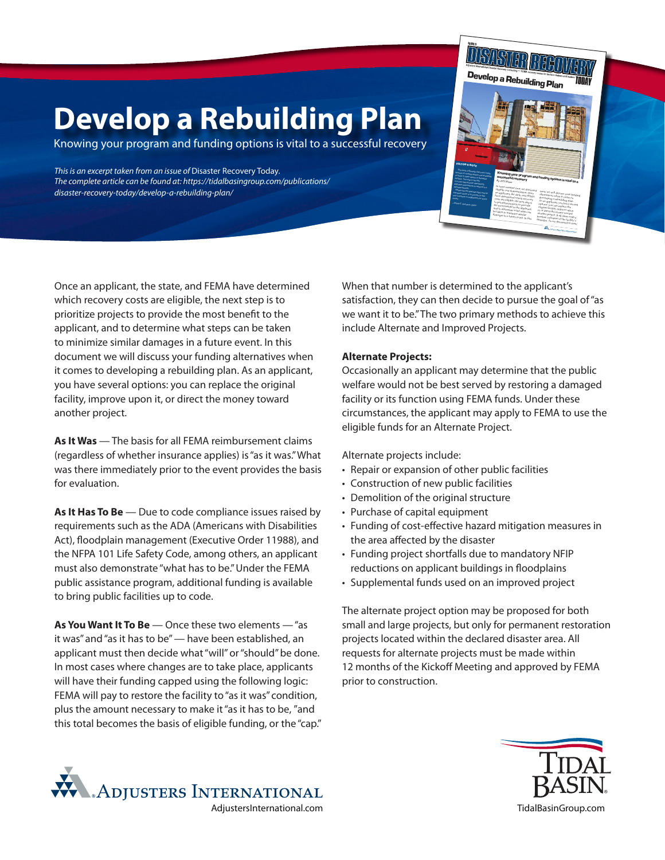## **Develop a Rebuilding Plan**

Knowing your program and funding options is vital to a successful recovery

*This is an excerpt taken from an issue of* Disaster Recovery Today*. The complete article can be found at: https://tidalbasingroup.com/publications/ disaster-recovery-today/develop-a-rebuilding-plan/*



Once an applicant, the state, and FEMA have determined which recovery costs are eligible, the next step is to prioritize projects to provide the most benefit to the applicant, and to determine what steps can be taken to minimize similar damages in a future event. In this document we will discuss your funding alternatives when it comes to developing a rebuilding plan. As an applicant, you have several options: you can replace the original facility, improve upon it, or direct the money toward another project.

**As It Was** — The basis for all FEMA reimbursement claims (regardless of whether insurance applies) is "as it was." What was there immediately prior to the event provides the basis for evaluation.

As It Has To Be - Due to code compliance issues raised by requirements such as the ADA (Americans with Disabilities Act), floodplain management (Executive Order 11988), and the NFPA 101 Life Safety Code, among others, an applicant must also demonstrate "what has to be." Under the FEMA public assistance program, additional funding is available to bring public facilities up to code.

**As You Want It To Be** — Once these two elements — "as it was" and "as it has to be" — have been established, an applicant must then decide what "will" or "should" be done. In most cases where changes are to take place, applicants will have their funding capped using the following logic: FEMA will pay to restore the facility to "as it was" condition, plus the amount necessary to make it "as it has to be, "and this total becomes the basis of eligible funding, or the "cap." When that number is determined to the applicant's satisfaction, they can then decide to pursue the goal of "as we want it to be." The two primary methods to achieve this include Alternate and Improved Projects.

## **Alternate Projects:**

Occasionally an applicant may determine that the public welfare would not be best served by restoring a damaged facility or its function using FEMA funds. Under these circumstances, the applicant may apply to FEMA to use the eligible funds for an Alternate Project.

Alternate projects include:

- Repair or expansion of other public facilities
- Construction of new public facilities
- Demolition of the original structure
- Purchase of capital equipment
- Funding of cost-effective hazard mitigation measures in the area affected by the disaster
- Funding project shortfalls due to mandatory NFIP reductions on applicant buildings in floodplains
- Supplemental funds used on an improved project

The alternate project option may be proposed for both small and large projects, but only for permanent restoration projects located within the declared disaster area. All requests for alternate projects must be made within 12 months of the Kickoff Meeting and approved by FEMA prior to construction.